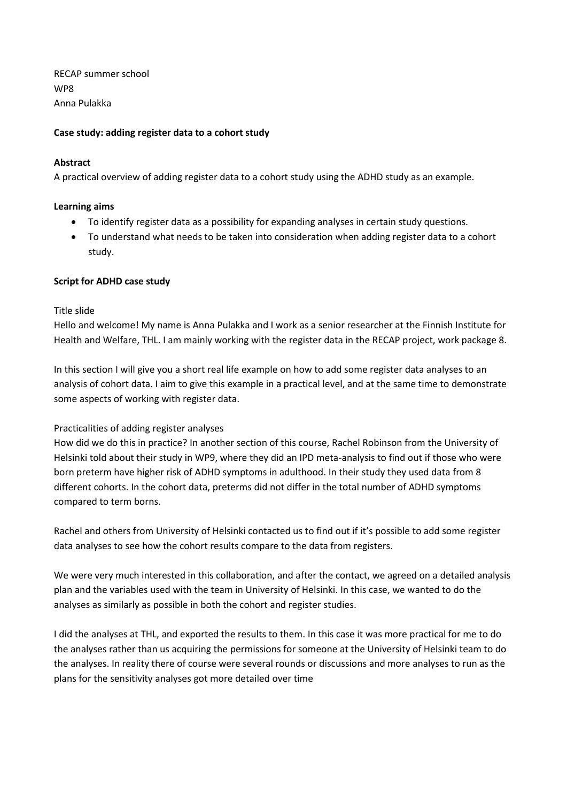RECAP summer school WP8 Anna Pulakka

# **Case study: adding register data to a cohort study**

# **Abstract**

A practical overview of adding register data to a cohort study using the ADHD study as an example.

#### **Learning aims**

- To identify register data as a possibility for expanding analyses in certain study questions.
- To understand what needs to be taken into consideration when adding register data to a cohort study.

### **Script for ADHD case study**

#### Title slide

Hello and welcome! My name is Anna Pulakka and I work as a senior researcher at the Finnish Institute for Health and Welfare, THL. I am mainly working with the register data in the RECAP project, work package 8.

In this section I will give you a short real life example on how to add some register data analyses to an analysis of cohort data. I aim to give this example in a practical level, and at the same time to demonstrate some aspects of working with register data.

#### Practicalities of adding register analyses

How did we do this in practice? In another section of this course, Rachel Robinson from the University of Helsinki told about their study in WP9, where they did an IPD meta-analysis to find out if those who were born preterm have higher risk of ADHD symptoms in adulthood. In their study they used data from 8 different cohorts. In the cohort data, preterms did not differ in the total number of ADHD symptoms compared to term borns.

Rachel and others from University of Helsinki contacted us to find out if it's possible to add some register data analyses to see how the cohort results compare to the data from registers.

We were very much interested in this collaboration, and after the contact, we agreed on a detailed analysis plan and the variables used with the team in University of Helsinki. In this case, we wanted to do the analyses as similarly as possible in both the cohort and register studies.

I did the analyses at THL, and exported the results to them. In this case it was more practical for me to do the analyses rather than us acquiring the permissions for someone at the University of Helsinki team to do the analyses. In reality there of course were several rounds or discussions and more analyses to run as the plans for the sensitivity analyses got more detailed over time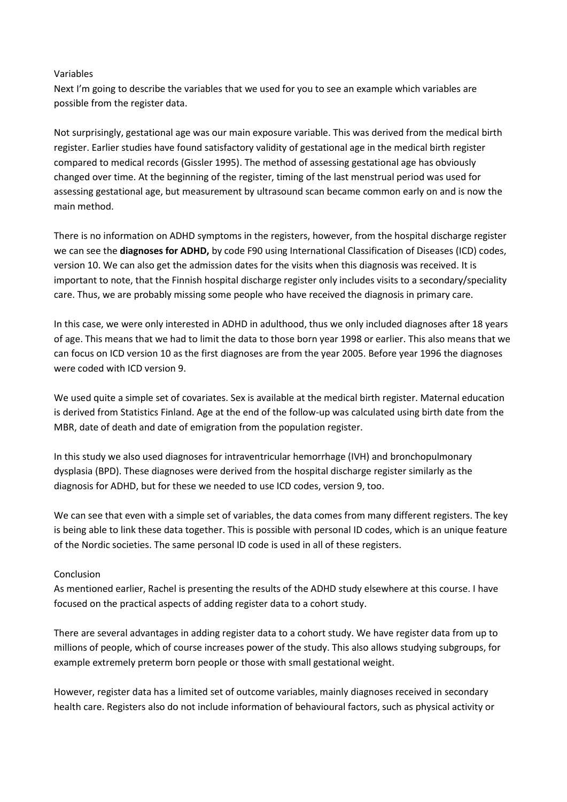#### Variables

Next I'm going to describe the variables that we used for you to see an example which variables are possible from the register data.

Not surprisingly, gestational age was our main exposure variable. This was derived from the medical birth register. Earlier studies have found satisfactory validity of gestational age in the medical birth register compared to medical records (Gissler 1995). The method of assessing gestational age has obviously changed over time. At the beginning of the register, timing of the last menstrual period was used for assessing gestational age, but measurement by ultrasound scan became common early on and is now the main method.

There is no information on ADHD symptoms in the registers, however, from the hospital discharge register we can see the **diagnoses for ADHD,** by code F90 using International Classification of Diseases (ICD) codes, version 10. We can also get the admission dates for the visits when this diagnosis was received. It is important to note, that the Finnish hospital discharge register only includes visits to a secondary/speciality care. Thus, we are probably missing some people who have received the diagnosis in primary care.

In this case, we were only interested in ADHD in adulthood, thus we only included diagnoses after 18 years of age. This means that we had to limit the data to those born year 1998 or earlier. This also means that we can focus on ICD version 10 as the first diagnoses are from the year 2005. Before year 1996 the diagnoses were coded with ICD version 9.

We used quite a simple set of covariates. Sex is available at the medical birth register. Maternal education is derived from Statistics Finland. Age at the end of the follow-up was calculated using birth date from the MBR, date of death and date of emigration from the population register.

In this study we also used diagnoses for intraventricular hemorrhage (IVH) and bronchopulmonary dysplasia (BPD). These diagnoses were derived from the hospital discharge register similarly as the diagnosis for ADHD, but for these we needed to use ICD codes, version 9, too.

We can see that even with a simple set of variables, the data comes from many different registers. The key is being able to link these data together. This is possible with personal ID codes, which is an unique feature of the Nordic societies. The same personal ID code is used in all of these registers.

# Conclusion

As mentioned earlier, Rachel is presenting the results of the ADHD study elsewhere at this course. I have focused on the practical aspects of adding register data to a cohort study.

There are several advantages in adding register data to a cohort study. We have register data from up to millions of people, which of course increases power of the study. This also allows studying subgroups, for example extremely preterm born people or those with small gestational weight.

However, register data has a limited set of outcome variables, mainly diagnoses received in secondary health care. Registers also do not include information of behavioural factors, such as physical activity or